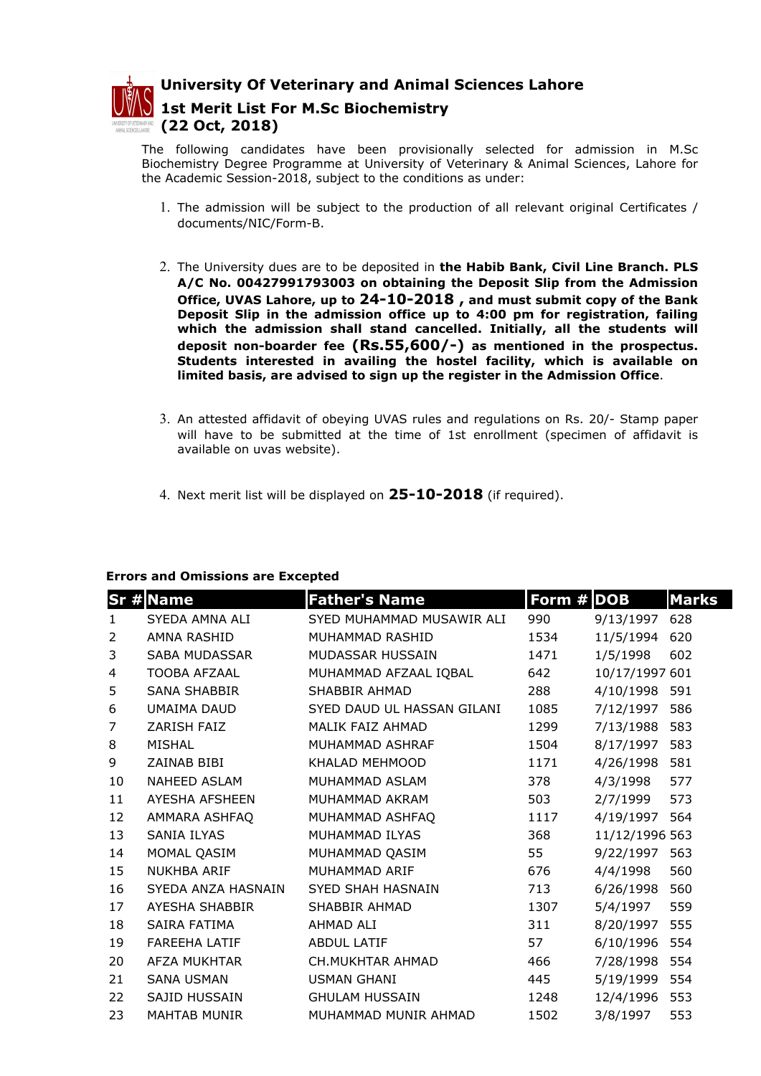

University Of Veterinary and Animal Sciences Lahore 1st Merit List For M.Sc Biochemistry (22 Oct, 2018)

The following candidates have been provisionally selected for admission in M.Sc Biochemistry Degree Programme at University of Veterinary & Animal Sciences, Lahore for the Academic Session-2018, subject to the conditions as under:

- 1. The admission will be subject to the production of all relevant original Certificates / documents/NIC/Form-B.
- 2. The University dues are to be deposited in the Habib Bank, Civil Line Branch. PLS A/C No. 00427991793003 on obtaining the Deposit Slip from the Admission Office, UVAS Lahore, up to 24-10-2018 , and must submit copy of the Bank Deposit Slip in the admission office up to 4:00 pm for registration, failing which the admission shall stand cancelled. Initially, all the students will deposit non-boarder fee (Rs.55,600/-) as mentioned in the prospectus. Students interested in availing the hostel facility, which is available on limited basis, are advised to sign up the register in the Admission Office.
- 3. An attested affidavit of obeying UVAS rules and regulations on Rs. 20/- Stamp paper will have to be submitted at the time of 1st enrollment (specimen of affidavit is available on uvas website).
- 4. Next merit list will be displayed on  $25-10-2018$  (if required).

## Errors and Omissions are Excepted

|                | Sr #Name             | <b>Father's Name</b>       | Form # DOB |                | <b>Marks</b> |
|----------------|----------------------|----------------------------|------------|----------------|--------------|
| $\mathbf{1}$   | SYEDA AMNA ALI       | SYED MUHAMMAD MUSAWIR ALI  | 990        | 9/13/1997      | 628          |
| 2              | AMNA RASHID          | MUHAMMAD RASHID            | 1534       | 11/5/1994      | 620          |
| 3              | SABA MUDASSAR        | MUDASSAR HUSSAIN           | 1471       | 1/5/1998       | 602          |
| 4              | <b>TOOBA AFZAAL</b>  | MUHAMMAD AFZAAL IQBAL      | 642        | 10/17/1997 601 |              |
| 5              | <b>SANA SHABBIR</b>  | SHABBIR AHMAD              | 288        | 4/10/1998      | 591          |
| 6              | UMAIMA DAUD          | SYED DAUD UL HASSAN GILANI | 1085       | 7/12/1997      | 586          |
| $\overline{7}$ | ZARISH FAIZ          | MALIK FAIZ AHMAD           | 1299       | 7/13/1988      | 583          |
| 8              | <b>MISHAL</b>        | MUHAMMAD ASHRAF            | 1504       | 8/17/1997      | 583          |
| 9              | ZAINAB BIBI          | KHALAD MEHMOOD             | 1171       | 4/26/1998      | 581          |
| 10             | NAHEED ASLAM         | MUHAMMAD ASLAM             | 378        | 4/3/1998       | 577          |
| 11             | AYESHA AFSHEEN       | MUHAMMAD AKRAM             | 503        | 2/7/1999       | 573          |
| 12             | AMMARA ASHFAQ        | MUHAMMAD ASHFAQ            | 1117       | 4/19/1997      | 564          |
| 13             | <b>SANIA ILYAS</b>   | MUHAMMAD ILYAS             | 368        | 11/12/1996 563 |              |
| 14             | MOMAL QASIM          | MUHAMMAD QASIM             | 55         | 9/22/1997      | 563          |
| 15             | <b>NUKHBA ARIF</b>   | MUHAMMAD ARIF              | 676        | 4/4/1998       | 560          |
| 16             | SYEDA ANZA HASNAIN   | <b>SYED SHAH HASNAIN</b>   | 713        | 6/26/1998      | 560          |
| 17             | AYESHA SHABBIR       | SHABBIR AHMAD              | 1307       | 5/4/1997       | 559          |
| 18             | SAIRA FATIMA         | AHMAD ALI                  | 311        | 8/20/1997      | 555          |
| 19             | <b>FAREEHA LATIF</b> | <b>ABDUL LATIF</b>         | 57         | 6/10/1996      | 554          |
| 20             | AFZA MUKHTAR         | <b>CH.MUKHTAR AHMAD</b>    | 466        | 7/28/1998      | 554          |
| 21             | <b>SANA USMAN</b>    | <b>USMAN GHANI</b>         | 445        | 5/19/1999      | 554          |
| 22             | SAJID HUSSAIN        | <b>GHULAM HUSSAIN</b>      | 1248       | 12/4/1996      | 553          |
| 23             | <b>MAHTAB MUNIR</b>  | MUHAMMAD MUNIR AHMAD       | 1502       | 3/8/1997       | 553          |